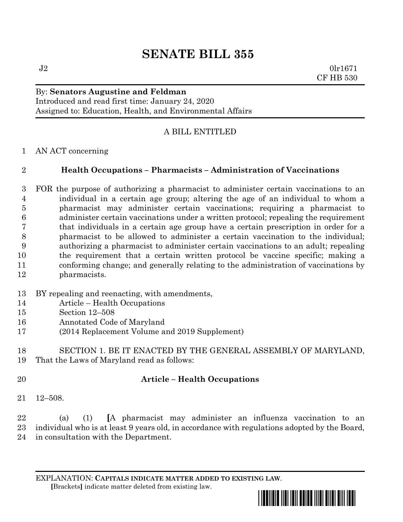# **SENATE BILL 355**

 $J2$  0lr1671 CF HB 530

#### By: **Senators Augustine and Feldman** Introduced and read first time: January 24, 2020 Assigned to: Education, Health, and Environmental Affairs

# A BILL ENTITLED

AN ACT concerning

### **Health Occupations – Pharmacists – Administration of Vaccinations**

 FOR the purpose of authorizing a pharmacist to administer certain vaccinations to an individual in a certain age group; altering the age of an individual to whom a pharmacist may administer certain vaccinations; requiring a pharmacist to administer certain vaccinations under a written protocol; repealing the requirement that individuals in a certain age group have a certain prescription in order for a pharmacist to be allowed to administer a certain vaccination to the individual; authorizing a pharmacist to administer certain vaccinations to an adult; repealing the requirement that a certain written protocol be vaccine specific; making a conforming change; and generally relating to the administration of vaccinations by pharmacists.

- BY repealing and reenacting, with amendments,
- Article Health Occupations
- Section 12–508
- Annotated Code of Maryland
- (2014 Replacement Volume and 2019 Supplement)

 SECTION 1. BE IT ENACTED BY THE GENERAL ASSEMBLY OF MARYLAND, That the Laws of Maryland read as follows:

# **Article – Health Occupations**

12–508.

 (a) (1) **[**A pharmacist may administer an influenza vaccination to an individual who is at least 9 years old, in accordance with regulations adopted by the Board, in consultation with the Department.

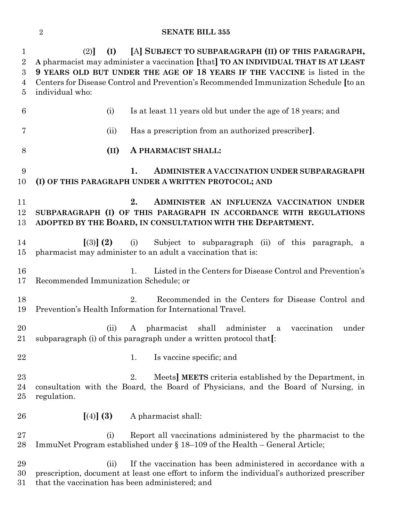#### **SENATE BILL 355**

| $\mathbf 1$<br>$\overline{2}$<br>3<br>4<br>5 | [A] SUBJECT TO SUBPARAGRAPH (II) OF THIS PARAGRAPH,<br>(I)<br>(2)<br>A pharmacist may administer a vaccination [that] TO AN INDIVIDUAL THAT IS AT LEAST<br>9 YEARS OLD BUT UNDER THE AGE OF 18 YEARS IF THE VACCINE is listed in the<br>Centers for Disease Control and Prevention's Recommended Immunization Schedule [to an<br>individual who: |                      |                                                                                                                                                              |
|----------------------------------------------|--------------------------------------------------------------------------------------------------------------------------------------------------------------------------------------------------------------------------------------------------------------------------------------------------------------------------------------------------|----------------------|--------------------------------------------------------------------------------------------------------------------------------------------------------------|
| 6                                            | (i)                                                                                                                                                                                                                                                                                                                                              |                      | Is at least 11 years old but under the age of 18 years; and                                                                                                  |
| 7                                            | (ii)                                                                                                                                                                                                                                                                                                                                             |                      | Has a prescription from an authorized prescriber.                                                                                                            |
| 8                                            | $(\text{II})$                                                                                                                                                                                                                                                                                                                                    |                      | A PHARMACIST SHALL:                                                                                                                                          |
| 9<br>10                                      |                                                                                                                                                                                                                                                                                                                                                  | 1.                   | ADMINISTER A VACCINATION UNDER SUBPARAGRAPH<br>(I) OF THIS PARAGRAPH UNDER A WRITTEN PROTOCOL; AND                                                           |
| 11<br>12<br>13                               | 2.<br>ADMINISTER AN INFLUENZA VACCINATION UNDER<br>SUBPARAGRAPH (I) OF THIS PARAGRAPH IN ACCORDANCE WITH REGULATIONS<br>ADOPTED BY THE BOARD, IN CONSULTATION WITH THE DEPARTMENT.                                                                                                                                                               |                      |                                                                                                                                                              |
| 14<br>15                                     | $(3)$ (2)                                                                                                                                                                                                                                                                                                                                        |                      | (i) Subject to subparagraph (ii) of this paragraph, a<br>pharmacist may administer to an adult a vaccination that is:                                        |
| 16<br>17                                     | Recommended Immunization Schedule; or                                                                                                                                                                                                                                                                                                            | $\mathbf{1}_{\cdot}$ | Listed in the Centers for Disease Control and Prevention's                                                                                                   |
| 18<br>19                                     |                                                                                                                                                                                                                                                                                                                                                  | 2.                   | Recommended in the Centers for Disease Control and<br>Prevention's Health Information for International Travel.                                              |
| 20<br>21                                     | (ii)                                                                                                                                                                                                                                                                                                                                             | $\mathbf{A}$         | administer a<br>pharmacist shall<br>vaccination<br>under<br>subparagraph (i) of this paragraph under a written protocol that.                                |
| 22                                           |                                                                                                                                                                                                                                                                                                                                                  | 1.                   | Is vaccine specific; and                                                                                                                                     |
| 23<br>24<br>25                               | 2.<br>Meets] MEETS criteria established by the Department, in<br>consultation with the Board, the Board of Physicians, and the Board of Nursing, in<br>regulation.                                                                                                                                                                               |                      |                                                                                                                                                              |
| 26                                           | [(4)] (3)                                                                                                                                                                                                                                                                                                                                        |                      | A pharmacist shall:                                                                                                                                          |
| $27\,$<br>28                                 | (i)                                                                                                                                                                                                                                                                                                                                              |                      | Report all vaccinations administered by the pharmacist to the<br>ImmuNet Program established under $\S 18-109$ of the Health – General Article;              |
| 29<br>30<br>31                               | (ii)<br>that the vaccination has been administered; and                                                                                                                                                                                                                                                                                          |                      | If the vaccination has been administered in accordance with a<br>prescription, document at least one effort to inform the individual's authorized prescriber |